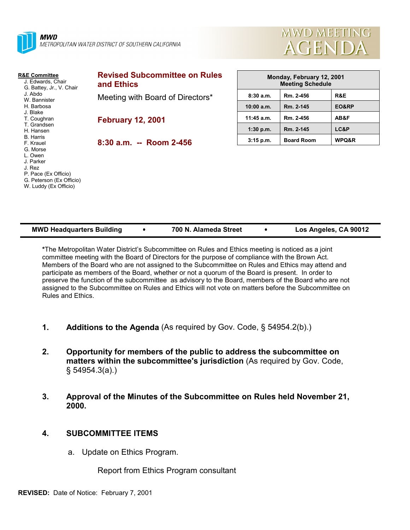

 G. Peterson (Ex Officio) W. Luddy (Ex Officio)



| <b>R&amp;E Committee</b><br>J. Edwards, Chair<br>G. Battey, Jr., V. Chair<br>J. Abdo<br>W. Bannister | <b>Revised Subcommittee on Rules</b><br>and Ethics | Monday, February 12, 2001<br><b>Meeting Schedule</b> |                   |       |
|------------------------------------------------------------------------------------------------------|----------------------------------------------------|------------------------------------------------------|-------------------|-------|
|                                                                                                      | Meeting with Board of Directors*                   | 8:30a.m.                                             | Rm. 2-456         | R&E   |
| H. Barbosa                                                                                           |                                                    | 10:00 a.m.                                           | Rm. 2-145         | EO&RP |
| J. Blake<br>T. Coughran                                                                              | <b>February 12, 2001</b>                           | $11:45$ a.m.                                         | Rm. 2-456         | AB&F  |
| T. Grandsen<br>H. Hansen                                                                             |                                                    | $1:30$ p.m.                                          | Rm. 2-145         | LC&P  |
| B. Harris<br>F. Krauel                                                                               | $8:30$ a.m. -- Room 2-456                          | $3:15$ p.m.                                          | <b>Board Room</b> | WPQ&R |
| G. Morse<br>L. Owen                                                                                  |                                                    |                                                      |                   |       |
| J. Parker                                                                                            |                                                    |                                                      |                   |       |
| J. Rez<br>P. Pace (Ex Officio)                                                                       |                                                    |                                                      |                   |       |

| <b>MWD Headquarters Building</b> | 700 N. Alameda Street | Los Angeles, CA 90012 |
|----------------------------------|-----------------------|-----------------------|

**\***The Metropolitan Water District's Subcommittee on Rules and Ethics meeting is noticed as a joint committee meeting with the Board of Directors for the purpose of compliance with the Brown Act. Members of the Board who are not assigned to the Subcommittee on Rules and Ethics may attend and participate as members of the Board, whether or not a quorum of the Board is present. In order to preserve the function of the subcommittee as advisory to the Board, members of the Board who are not assigned to the Subcommittee on Rules and Ethics will not vote on matters before the Subcommittee on Rules and Ethics.

- **1. Additions to the Agenda** (As required by Gov. Code, § 54954.2(b).)
- **2. Opportunity for members of the public to address the subcommittee on matters within the subcommittee's jurisdiction** (As required by Gov. Code, § 54954.3(a).)
- **3. Approval of the Minutes of the Subcommittee on Rules held November 21, 2000.**

## **4. SUBCOMMITTEE ITEMS**

a. Update on Ethics Program.

Report from Ethics Program consultant